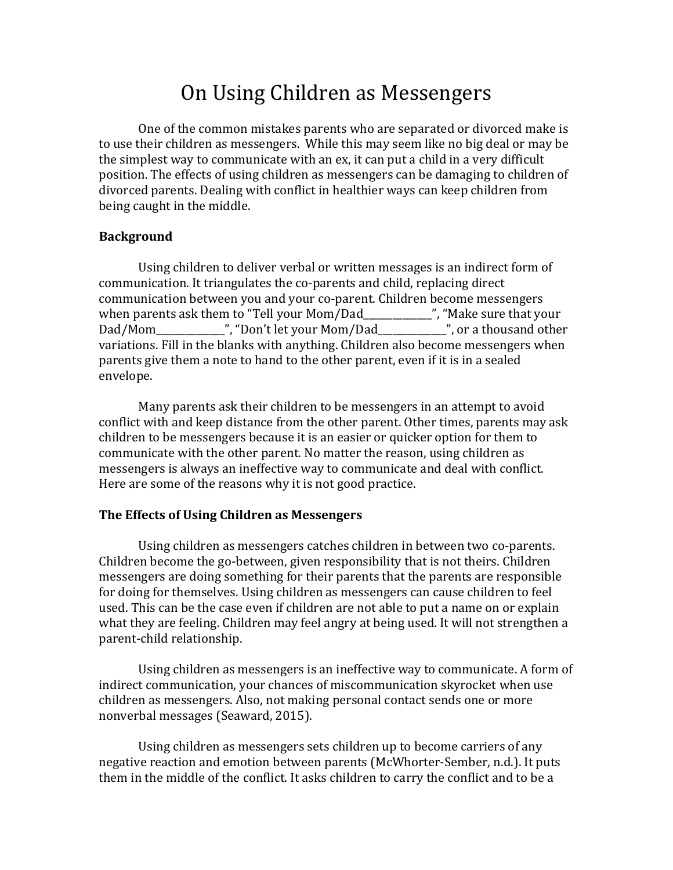# On Using Children as Messengers

One of the common mistakes parents who are separated or divorced make is to use their children as messengers. While this may seem like no big deal or may be the simplest way to communicate with an ex, it can put a child in a very difficult position. The effects of using children as messengers can be damaging to children of divorced parents. Dealing with conflict in healthier ways can keep children from being caught in the middle.

## **Background**

Using children to deliver verbal or written messages is an indirect form of communication. It triangulates the co-parents and child, replacing direct communication between you and your co-parent. Children become messengers when parents ask them to "Tell your Mom/Dad\_\_\_\_\_\_\_\_\_\_\_\_\_\_\_\_", "Make sure that your Dad/Mom\_\_\_\_\_\_\_\_\_\_\_\_\_\_", "Don't let your Mom/Dad\_\_\_\_\_\_\_\_\_\_\_\_\_\_", or a thousand other variations. Fill in the blanks with anything. Children also become messengers when parents give them a note to hand to the other parent, even if it is in a sealed envelope.

Many parents ask their children to be messengers in an attempt to avoid conflict with and keep distance from the other parent. Other times, parents may ask children to be messengers because it is an easier or quicker option for them to communicate with the other parent. No matter the reason, using children as messengers is always an ineffective way to communicate and deal with conflict. Here are some of the reasons why it is not good practice.

## **The Effects of Using Children as Messengers**

Using children as messengers catches children in between two co-parents. Children become the go-between, given responsibility that is not theirs. Children messengers are doing something for their parents that the parents are responsible for doing for themselves. Using children as messengers can cause children to feel used. This can be the case even if children are not able to put a name on or explain what they are feeling. Children may feel angry at being used. It will not strengthen a parent-child relationship.

Using children as messengers is an ineffective way to communicate. A form of indirect communication, your chances of miscommunication skyrocket when use children as messengers. Also, not making personal contact sends one or more nonverbal messages (Seaward, 2015).

Using children as messengers sets children up to become carriers of any negative reaction and emotion between parents (McWhorter-Sember, n.d.). It puts them in the middle of the conflict. It asks children to carry the conflict and to be a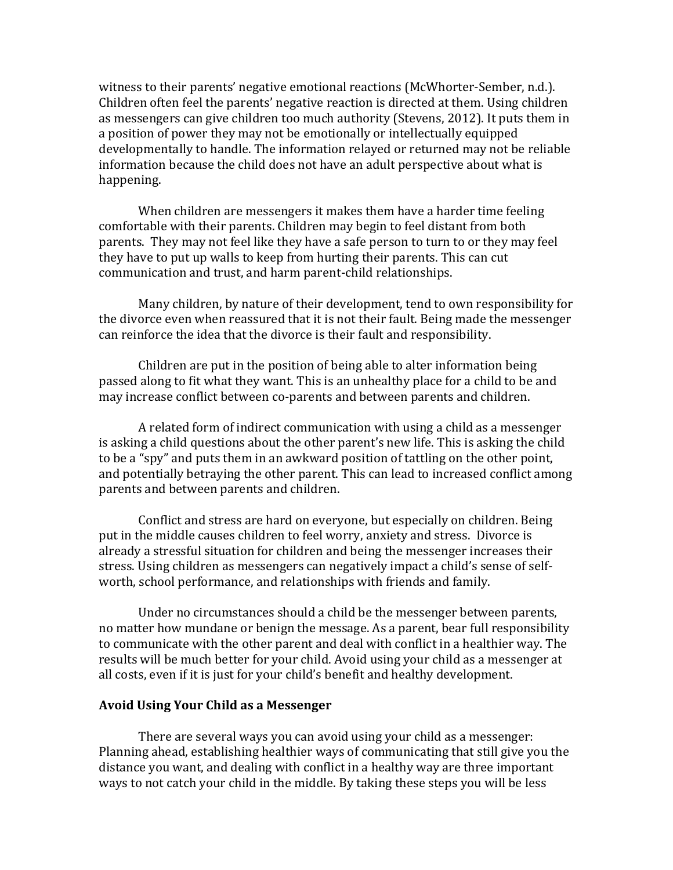witness to their parents' negative emotional reactions (McWhorter-Sember, n.d.). Children often feel the parents' negative reaction is directed at them. Using children as messengers can give children too much authority (Stevens, 2012). It puts them in a position of power they may not be emotionally or intellectually equipped developmentally to handle. The information relayed or returned may not be reliable information because the child does not have an adult perspective about what is happening.

When children are messengers it makes them have a harder time feeling comfortable with their parents. Children may begin to feel distant from both parents. They may not feel like they have a safe person to turn to or they may feel they have to put up walls to keep from hurting their parents. This can cut communication and trust, and harm parent-child relationships.

Many children, by nature of their development, tend to own responsibility for the divorce even when reassured that it is not their fault. Being made the messenger can reinforce the idea that the divorce is their fault and responsibility.

Children are put in the position of being able to alter information being passed along to fit what they want. This is an unhealthy place for a child to be and may increase conflict between co-parents and between parents and children.

A related form of indirect communication with using a child as a messenger is asking a child questions about the other parent's new life. This is asking the child to be a "spy" and puts them in an awkward position of tattling on the other point, and potentially betraying the other parent. This can lead to increased conflict among parents and between parents and children.

Conflict and stress are hard on everyone, but especially on children. Being put in the middle causes children to feel worry, anxiety and stress. Divorce is already a stressful situation for children and being the messenger increases their stress. Using children as messengers can negatively impact a child's sense of selfworth, school performance, and relationships with friends and family.

Under no circumstances should a child be the messenger between parents, no matter how mundane or benign the message. As a parent, bear full responsibility to communicate with the other parent and deal with conflict in a healthier way. The results will be much better for your child. Avoid using your child as a messenger at all costs, even if it is just for your child's benefit and healthy development.

#### **Avoid Using Your Child as a Messenger**

There are several ways you can avoid using your child as a messenger: Planning ahead, establishing healthier ways of communicating that still give you the distance you want, and dealing with conflict in a healthy way are three important ways to not catch your child in the middle. By taking these steps you will be less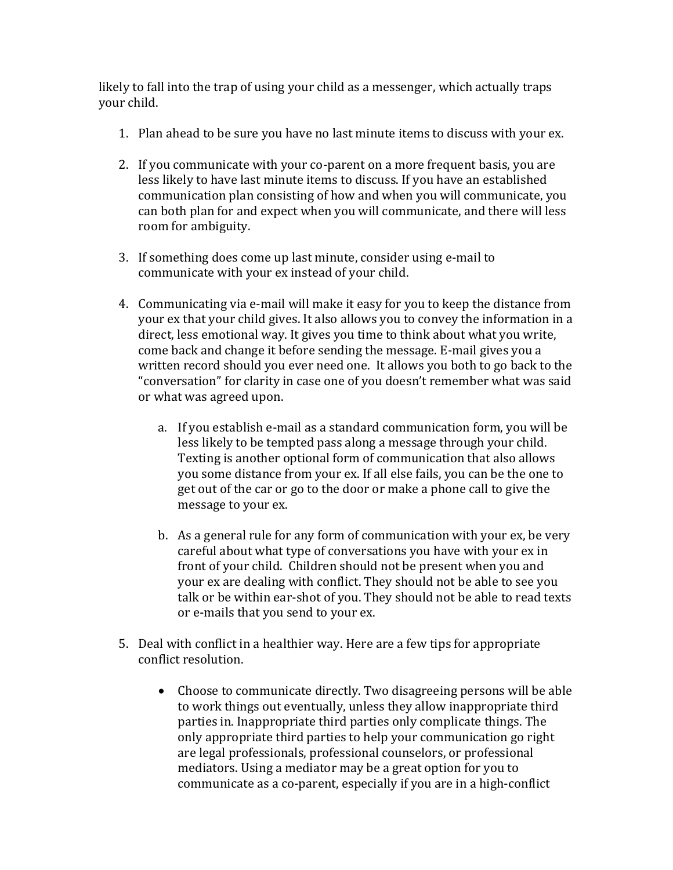likely to fall into the trap of using your child as a messenger, which actually traps your child.

- 1. Plan ahead to be sure you have no last minute items to discuss with your ex.
- 2. If you communicate with your co-parent on a more frequent basis, you are less likely to have last minute items to discuss. If you have an established communication plan consisting of how and when you will communicate, you can both plan for and expect when you will communicate, and there will less room for ambiguity.
- 3. If something does come up last minute, consider using e-mail to communicate with your ex instead of your child.
- 4. Communicating via e-mail will make it easy for you to keep the distance from your ex that your child gives. It also allows you to convey the information in a direct, less emotional way. It gives you time to think about what you write, come back and change it before sending the message. E-mail gives you a written record should you ever need one. It allows you both to go back to the "conversation" for clarity in case one of you doesn't remember what was said or what was agreed upon.
	- a. If you establish e-mail as a standard communication form, you will be less likely to be tempted pass along a message through your child. Texting is another optional form of communication that also allows you some distance from your ex. If all else fails, you can be the one to get out of the car or go to the door or make a phone call to give the message to your ex.
	- b. As a general rule for any form of communication with your ex, be very careful about what type of conversations you have with your ex in front of your child. Children should not be present when you and your ex are dealing with conflict. They should not be able to see you talk or be within ear-shot of you. They should not be able to read texts or e-mails that you send to your ex.
- 5. Deal with conflict in a healthier way. Here are a few tips for appropriate conflict resolution.
	- Choose to communicate directly. Two disagreeing persons will be able to work things out eventually, unless they allow inappropriate third parties in. Inappropriate third parties only complicate things. The only appropriate third parties to help your communication go right are legal professionals, professional counselors, or professional mediators. Using a mediator may be a great option for you to communicate as a co-parent, especially if you are in a high-conflict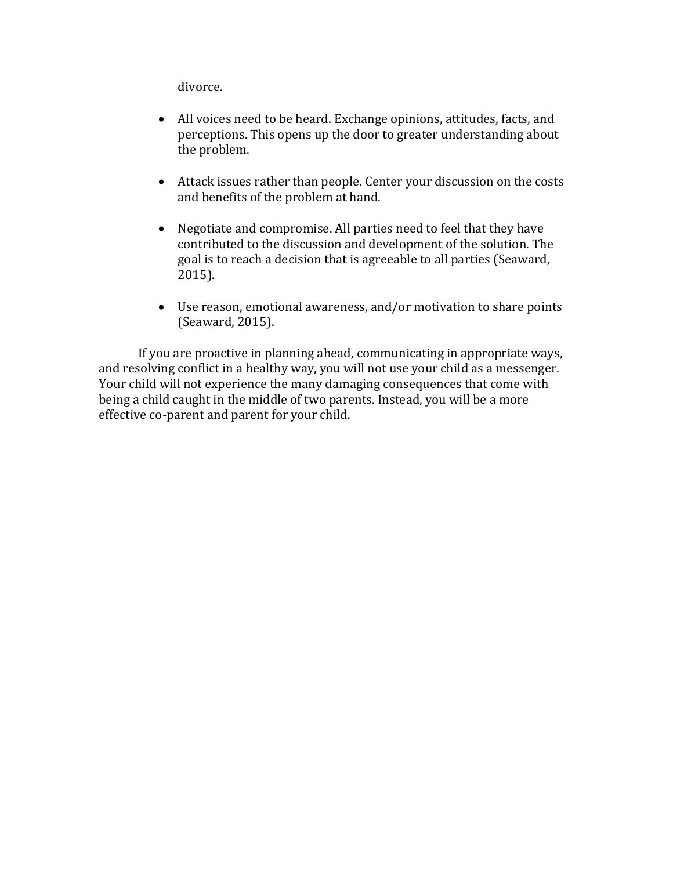divorce.

- All voices need to be heard. Exchange opinions, attitudes, facts, and perceptions. This opens up the door to greater understanding about the problem.
- Attack issues rather than people. Center your discussion on the costs and benefits of the problem at hand.
- Negotiate and compromise. All parties need to feel that they have contributed to the discussion and development of the solution. The goal is to reach a decision that is agreeable to all parties (Seaward, 2015).
- Use reason, emotional awareness, and/or motivation to share points (Seaward, 2015).

If you are proactive in planning ahead, communicating in appropriate ways, and resolving conflict in a healthy way, you will not use your child as a messenger. Your child will not experience the many damaging consequences that come with being a child caught in the middle of two parents. Instead, you will be a more effective co-parent and parent for your child.